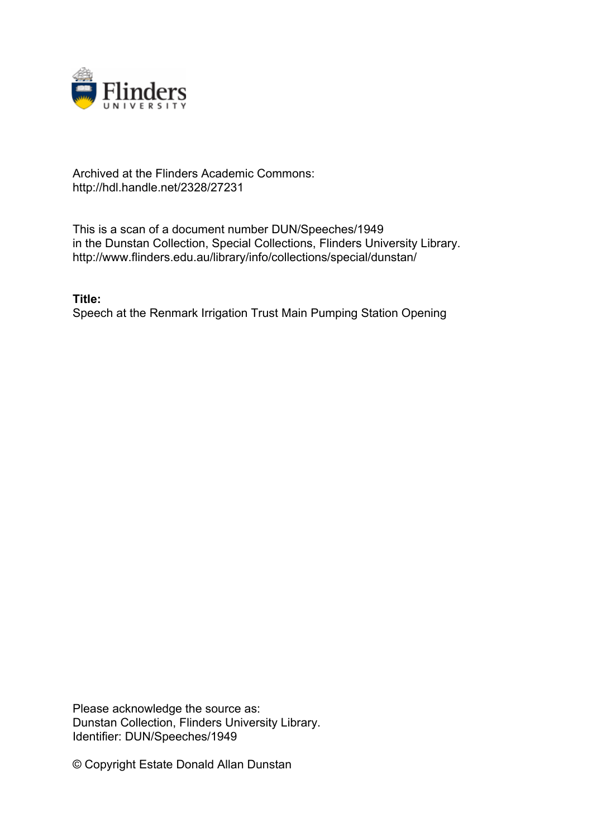

## Archived at the Flinders Academic Commons: http://hdl.handle.net/2328/27231

This is a scan of a document number DUN/Speeches/1949 in the Dunstan Collection, Special Collections, Flinders University Library. http://www.flinders.edu.au/library/info/collections/special/dunstan/

**Title:** Speech at the Renmark Irrigation Trust Main Pumping Station Opening

Please acknowledge the source as: Dunstan Collection, Flinders University Library. Identifier: DUN/Speeches/1949

© Copyright Estate Donald Allan Dunstan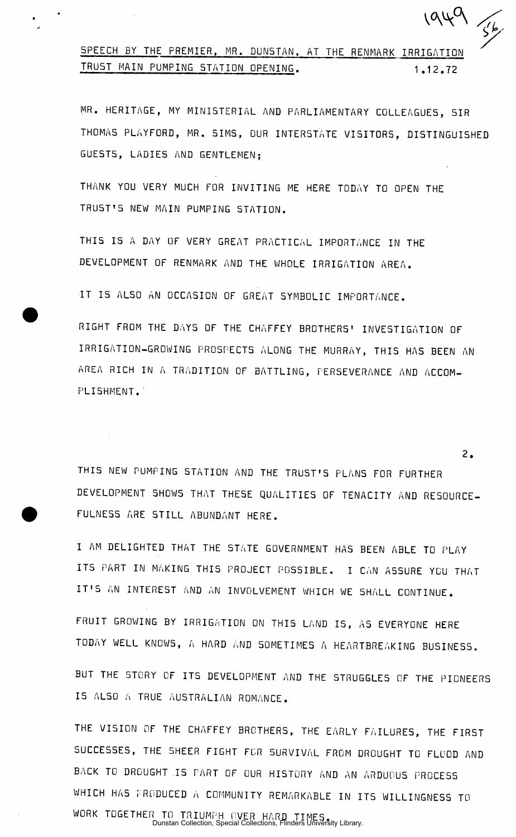## SPEECH BY THE PREMIER, MR. DUNSTAN, AT THE RENMARK IRRIGATION<br>TRUST MAIN PUMPING STATION OPENING. 1.12.72 TRUS TRUS T MAIN PUMPING STATION AND THE RELEASE OF THE RELEASE OF THE RELEASE OF THE RELEASE OF THE RELEASE OF

MR. HERITAGE, MY MINISTERIAL AND PARLIAMENTARY COLLEAGUES, SIR THOMAS PLAYFORD, MR. SIMS, OUR INTERSTATE VISITORS, DISTINGUISHED GUESTS, LADIES AND GENTLEMEN:

THANK YOU VERY MUCH FOR INVITING ME HERE TODAY TO OPEN THE TRUST'S NEW MAIN PUMPING STATION.

THIS IS A DAY OF VERY GREAT PRACTICAL IMPORTANCE IN THE DEVELOPMENT OF RENMARK AND THE WHOLE IRRIGATION AREA.

IT IS ALSO AN OCCASION OF GREAT SYMBOLIC IMPORTANCE.

RIGHT FROM THE DAYS OF THE CHAFFEY BROTHERS' INVESTIGATION OF IRRIGATION-GROWING PROSPECTS ALONG THE MURRAY, THIS HAS BEEN AN AREA RICH IN A TRADITION OF BATTLING, PERSEVERANCE AND ACCOM-PLISHMENT.

THIS NEW PUMPING STATION AND THE TRUST'S PLANS FOR FURTHER DEVELOPMENT SHOWS THAT THESE QUALITIES OF TENACITY AND RESOURCE-FULNESS ARE STILL ABUNDANT HERE.

I AM DELIGHTED THAT THE STATE GOVERNMENT HAS BEEN ABLE TO PLAY ITS PART IN MAKING THIS PROJECT POSSIBLE. I CAN ASSURE YOU THAT IT'S AN INTEREST AND AN INVOLVEMENT WHICH WE SHALL CONTINUE.

FRUIT GROWING BY IRRIGATION ON THIS LAND IS, AS EVERYONE HERE TODAY WELL KNOWS, A HARD AND SOMETIMES A HEARTBREAKING BUSINESS.

BUT THE STORY OF ITS DEVELOPMENT AND THE STRUGGLES OF THE PIONEERS IS ALSO A TRUE AUSTRALIAN ROMANCE.

THE VISION OF THE CHAFFEY BROTHERS, THE EARLY FAILURES, THE FIRST SUCCESSES, THE SHEER FIGHT FOR SURVIVAL FROM DROUGHT TO FLOOD AND BACK TO DROUGHT IS PART OF OUR HISTORY AND AN ARDUOUS PROCESS WHICH HAS FRODUCED A COMMUNITY REMARKABLE IN ITS WILLINGNESS TO WORK TOGETHER TO TRIUMPH OVER HARD TIMES . Dunstan Collection, Special Collections, Flinders University Library.

2.

*¥* 

 $1949$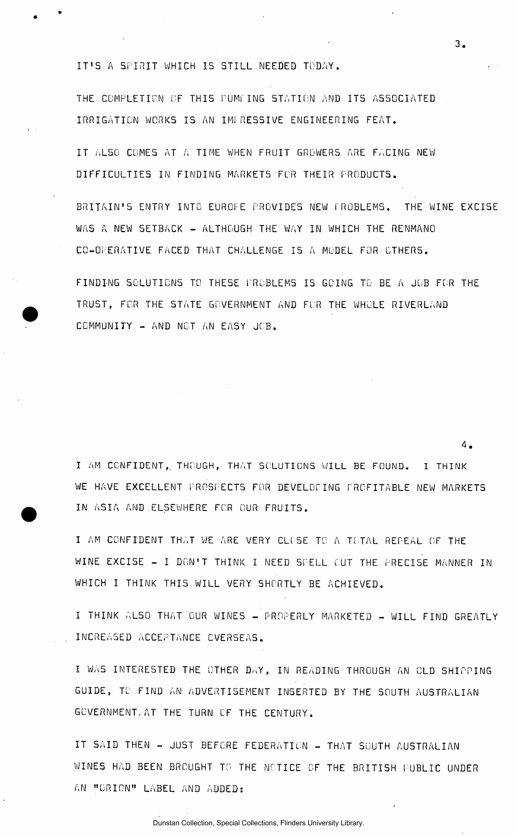IT'S A SPIRIT WHICH IS STILL NEEDED TODAY.

THE COMPLETION OF THIS PUMPING STATION AND ITS ASSOCIATED IRRIGATION WORKS IS AN IMPRESSIVE ENGINEERING FEAT.

IT ALSO COMES AT A TIME WHEN FRUIT GROWERS ARE FACING NEW DIFFICULTIES IN FINDING MARKETS FOR THEIR PRODUCTS.

BRITAIN'S ENTRY INTO EUROFE PROVIDES NEW FROBLEMS. THE WINE EXCISE WAS A NEW SETBACK - ALTHOUGH THE WAY IN WHICH THE RENMANO CO-OPERATIVE FACED THAT CHALLENGE IS A MODEL FOR CTHERS.

FINDING SOLUTIONS TO THESE PROBLEMS IS GOING TO BE A JOB FOR THE TRUST, FOR THE STATE GOVERNMENT AND FOR THE WHOLE RIVERLAND COMMUNITY - AND NOT AN EASY JOB.

I AM CONFIDENT, THOUGH, THAT SOLUTIONS WILL BE FOUND. I THINK WE HAVE EXCELLENT PROSPECTS FOR DEVELOPING PROFITABLE NEW MARKETS IN ASIA AND ELSEWHERE FOR OUR FRUITS.

I AM CONFIDENT THAT WE ARE VERY CLOSE TO A TOTAL REPEAL OF THE WINE EXCISE - I DON'T THINK I NEED SPELL CUT THE PRECISE MANNER IN WHICH I THINK THIS WILL VERY SHORTLY BE ACHIEVED.

I THINK ALSO THAT OUR WINES - PROPERLY MARKETED - WILL FIND GREATLY INCREASED ACCEPTANCE EVERSEAS.

I WAS INTERESTED THE OTHER DAY, IN READING THROUGH AN OLD SHIPPING GUIDE, TO FIND AN ADVERTISEMENT INSERTED BY THE SOUTH AUSTRALIAN GOVERNMENT. AT THE TURN OF THE CENTURY.

IT SAID THEN - JUST BEFORE FEDERATION - THAT SOUTH AUSTRALIAN WINES HAD BEEN BROUGHT TO THE NOTICE OF THE BRITISH FUBLIC UNDER AN "ORION" LABEL AND ADDED:

3 .

4 .